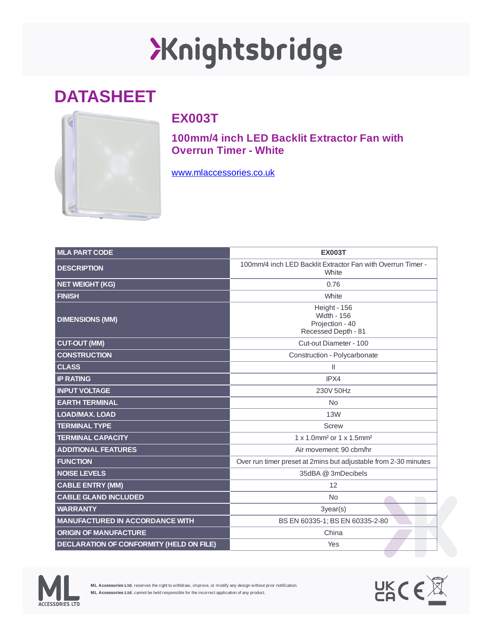## Xnightsbridge

## **DATASHEET**



## **EX003T**

**100mm/4 inch LED Backlit Extractor Fan with Overrun Timer - White**

[www.mlaccessories.co.uk](https://www.mlaccessories.co.uk/)

| <b>MLA PART CODE</b>                            | <b>EX003T</b>                                                                |
|-------------------------------------------------|------------------------------------------------------------------------------|
| <b>DESCRIPTION</b>                              | 100mm/4 inch LED Backlit Extractor Fan with Overrun Timer -<br>White         |
| <b>NET WEIGHT (KG)</b>                          | 0.76                                                                         |
| <b>FINISH</b>                                   | White                                                                        |
| <b>DIMENSIONS (MM)</b>                          | Height - 156<br><b>Width - 156</b><br>Projection - 40<br>Recessed Depth - 81 |
| <b>CUT-OUT (MM)</b>                             | Cut-out Diameter - 100                                                       |
| <b>CONSTRUCTION</b>                             | Construction - Polycarbonate                                                 |
| <b>CLASS</b>                                    | Ш                                                                            |
| <b>IP RATING</b>                                | IPX4                                                                         |
| <b>INPUT VOLTAGE</b>                            | 230V 50Hz                                                                    |
| <b>EARTH TERMINAL</b>                           | <b>No</b>                                                                    |
| <b>LOAD/MAX. LOAD</b>                           | 13W                                                                          |
| <b>TERMINAL TYPE</b>                            | <b>Screw</b>                                                                 |
| <b>TERMINAL CAPACITY</b>                        | 1 x 1.0mm <sup>2</sup> or 1 x 1.5mm <sup>2</sup>                             |
| <b>ADDITIONAL FEATURES</b>                      | Air movement: 90 cbm/hr                                                      |
| <b>FUNCTION</b>                                 | Over run timer preset at 2mins but adjustable from 2-30 minutes              |
| <b>NOISE LEVELS</b>                             | 35dBA @ 3mDecibels                                                           |
| <b>CABLE ENTRY (MM)</b>                         | 12                                                                           |
| <b>CABLE GLAND INCLUDED</b>                     | No                                                                           |
| <b>WARRANTY</b>                                 | 3year(s)                                                                     |
| <b>MANUFACTURED IN ACCORDANCE WITH</b>          | BS EN 60335-1; BS EN 60335-2-80                                              |
| <b>ORIGIN OF MANUFACTURE</b>                    | China                                                                        |
| <b>DECLARATION OF CONFORMITY (HELD ON FILE)</b> | Yes                                                                          |



**ML Accessories Ltd.** reserves the right to withdraw, improve, or modify any design without prior notification. **ML Accessories Ltd.** cannot be held responsible for the incorrect application of any product.